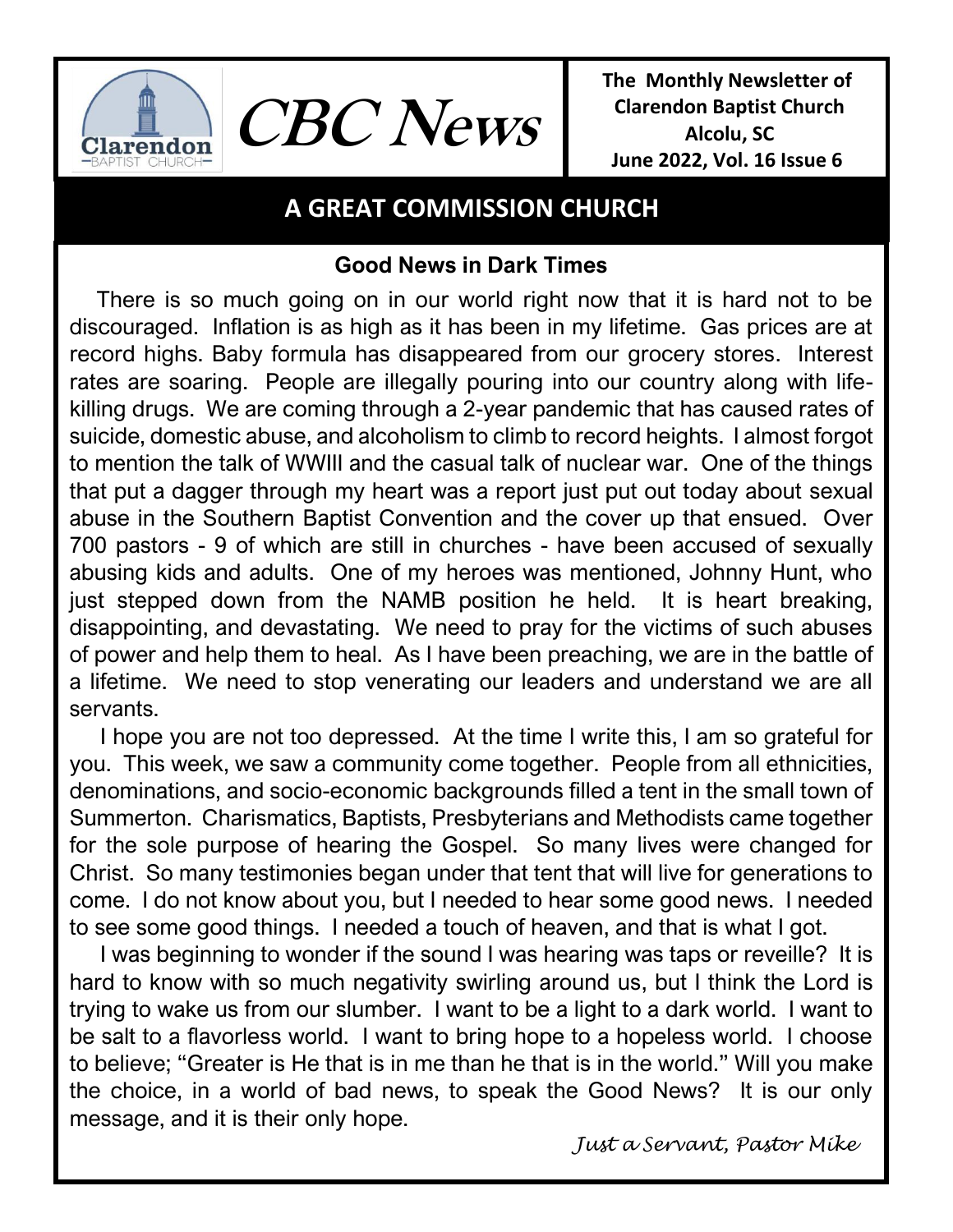



**The Monthly Newsletter of Clarendon Baptist Church Alcolu, SC June 2022, Vol. 16 Issue 6** 

# **A GREAT COMMISSION CHURCH**

## **Good News in Dark Times**

 There is so much going on in our world right now that it is hard not to be discouraged. Inflation is as high as it has been in my lifetime. Gas prices are at record highs. Baby formula has disappeared from our grocery stores. Interest rates are soaring. People are illegally pouring into our country along with lifekilling drugs. We are coming through a 2-year pandemic that has caused rates of suicide, domestic abuse, and alcoholism to climb to record heights. I almost forgot to mention the talk of WWIII and the casual talk of nuclear war. One of the things that put a dagger through my heart was a report just put out today about sexual abuse in the Southern Baptist Convention and the cover up that ensued. Over 700 pastors - 9 of which are still in churches - have been accused of sexually abusing kids and adults. One of my heroes was mentioned, Johnny Hunt, who just stepped down from the NAMB position he held. It is heart breaking, disappointing, and devastating. We need to pray for the victims of such abuses of power and help them to heal. As I have been preaching, we are in the battle of a lifetime. We need to stop venerating our leaders and understand we are all servants.

 I hope you are not too depressed. At the time I write this, I am so grateful for you. This week, we saw a community come together. People from all ethnicities, denominations, and socio-economic backgrounds filled a tent in the small town of Summerton. Charismatics, Baptists, Presbyterians and Methodists came together for the sole purpose of hearing the Gospel. So many lives were changed for Christ. So many testimonies began under that tent that will live for generations to come. I do not know about you, but I needed to hear some good news. I needed to see some good things. I needed a touch of heaven, and that is what I got.

 I was beginning to wonder if the sound I was hearing was taps or reveille? It is hard to know with so much negativity swirling around us, but I think the Lord is trying to wake us from our slumber. I want to be a light to a dark world. I want to be salt to a flavorless world. I want to bring hope to a hopeless world. I choose to believe; "Greater is He that is in me than he that is in the world." Will you make the choice, in a world of bad news, to speak the Good News? It is our only message, and it is their only hope.

*Just a Servant, Pastor Mike*